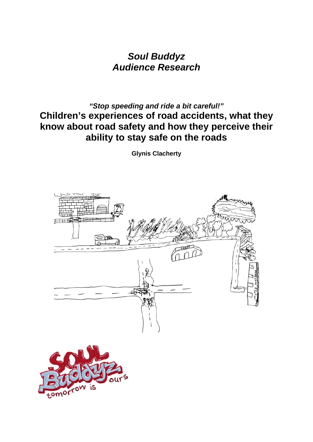*Soul Buddyz Audience Research* 

### *"Stop speeding and ride a bit careful!"*  **Children's experiences of road accidents, what they know about road safety and how they perceive their ability to stay safe on the roads**

**Glynis Clacherty** 



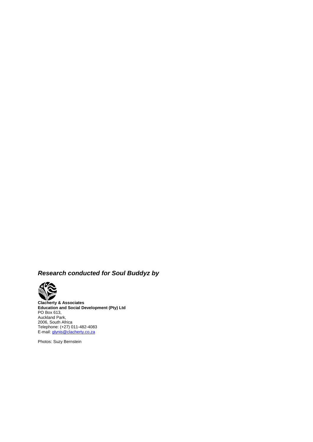### *Research conducted for Soul Buddyz by*



**Clacherty & Associates Education and Social Development (Pty) Ltd**  PO Box 613, Auckland Park, 2006, South Africa Telephone: (+27) 011-482-4083 E-mail: glynis@clacherty.co.za

Photos: Suzy Bernstein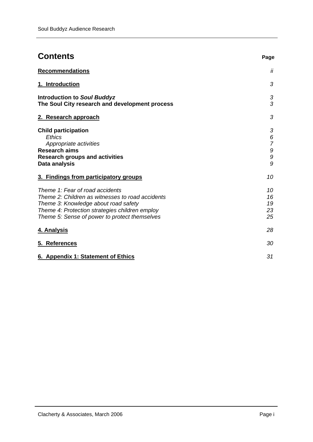| <b>Contents</b>                                                                                                                                                                                                                | Page                                            |
|--------------------------------------------------------------------------------------------------------------------------------------------------------------------------------------------------------------------------------|-------------------------------------------------|
| <b>Recommendations</b>                                                                                                                                                                                                         | Ϊİ                                              |
| 1. Introduction                                                                                                                                                                                                                | 3                                               |
| <b>Introduction to Soul Buddyz</b><br>The Soul City research and development process                                                                                                                                           | 3<br>3                                          |
| 2. Research approach                                                                                                                                                                                                           | 3                                               |
| <b>Child participation</b><br>Ethics<br>Appropriate activities<br><b>Research aims</b><br><b>Research groups and activities</b><br>Data analysis                                                                               | 3<br>6<br>$\overline{7}$<br>$\cal{G}$<br>9<br>9 |
| 3. Findings from participatory groups                                                                                                                                                                                          | 10                                              |
| Theme 1: Fear of road accidents<br>Theme 2: Children as witnesses to road accidents<br>Theme 3: Knowledge about road safety<br>Theme 4: Protection strategies children employ<br>Theme 5: Sense of power to protect themselves | 10<br>16<br>19<br>23<br>25                      |
| 4. Analysis                                                                                                                                                                                                                    | 28                                              |
| 5. References                                                                                                                                                                                                                  | 30                                              |
| 6. Appendix 1: Statement of Ethics                                                                                                                                                                                             | 31                                              |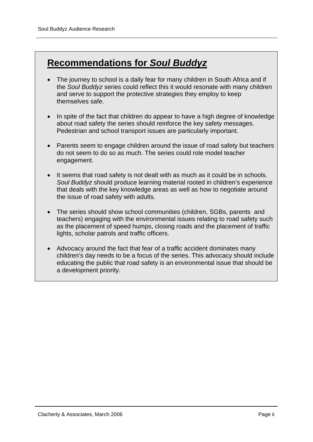# **Recommendations for** *Soul Buddyz*

- The journey to school is a daily fear for many children in South Africa and if the *Soul Buddyz* series could reflect this it would resonate with many children and serve to support the protective strategies they employ to keep themselves safe.
- In spite of the fact that children do appear to have a high degree of knowledge about road safety the series should reinforce the key safety messages. Pedestrian and school transport issues are particularly important.
- Parents seem to engage children around the issue of road safety but teachers do not seem to do so as much. The series could role model teacher engagement.
- It seems that road safety is not dealt with as much as it could be in schools. *Soul Buddyz* should produce learning material rooted in children's experience that deals with the key knowledge areas as well as how to negotiate around the issue of road safety with adults.
- The series should show school communities (children, SGBs, parents and teachers) engaging with the environmental issues relating to road safety such as the placement of speed humps, closing roads and the placement of traffic lights, scholar patrols and traffic officers.
- Advocacy around the fact that fear of a traffic accident dominates many children's day needs to be a focus of the series. This advocacy should include educating the public that road safety is an environmental issue that should be a development priority.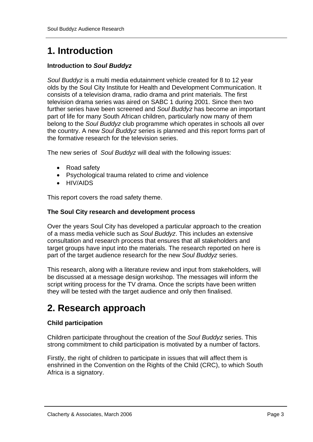# **1. Introduction**

### **Introduction to** *Soul Buddyz*

*Soul Buddyz* is a multi media edutainment vehicle created for 8 to 12 year olds by the Soul City Institute for Health and Development Communication. It consists of a television drama, radio drama and print materials. The first television drama series was aired on SABC 1 during 2001. Since then two further series have been screened and *Soul Buddyz* has become an important part of life for many South African children, particularly now many of them belong to the *Soul Buddyz* club programme which operates in schools all over the country. A new *Soul Buddyz* series is planned and this report forms part of the formative research for the television series.

The new series of *Soul Buddyz* will deal with the following issues:

- Road safety
- Psychological trauma related to crime and violence
- HIV/AIDS

This report covers the road safety theme.

#### **The Soul City research and development process**

Over the years Soul City has developed a particular approach to the creation of a mass media vehicle such as *Soul Buddyz*. This includes an extensive consultation and research process that ensures that all stakeholders and target groups have input into the materials. The research reported on here is part of the target audience research for the new *Soul Buddyz* series.

This research, along with a literature review and input from stakeholders, will be discussed at a message design workshop. The messages will inform the script writing process for the TV drama. Once the scripts have been written they will be tested with the target audience and only then finalised.

## **2. Research approach**

### **Child participation**

Children participate throughout the creation of the *Soul Buddyz* series. This strong commitment to child participation is motivated by a number of factors.

Firstly, the right of children to participate in issues that will affect them is enshrined in the Convention on the Rights of the Child (CRC), to which South Africa is a signatory.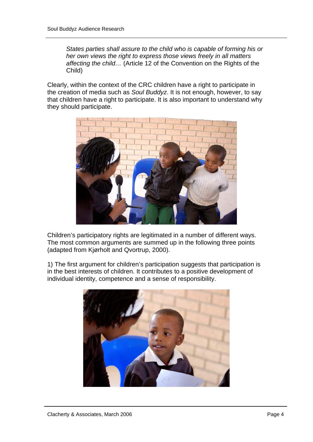*States parties shall assure to the child who is capable of forming his or her own views the right to express those views freely in all matters affecting the child…* (Article 12 of the Convention on the Rights of the Child)

Clearly, within the context of the CRC children have a right to participate in the creation of media such as *Soul Buddyz*. It is not enough, however, to say that children have a right to participate. It is also important to understand why they should participate.



Children's participatory rights are legitimated in a number of different ways. The most common arguments are summed up in the following three points (adapted from Kjørholt and Qvortrup, 2000).

1) The first argument for children's participation suggests that participation is in the best interests of children. It contributes to a positive development of individual identity, competence and a sense of responsibility.

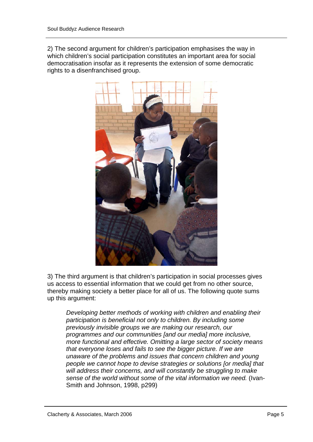2) The second argument for children's participation emphasises the way in which children's social participation constitutes an important area for social democratisation insofar as it represents the extension of some democratic rights to a disenfranchised group.



3) The third argument is that children's participation in social processes gives us access to essential information that we could get from no other source, thereby making society a better place for all of us. The following quote sums up this argument:

*Developing better methods of working with children and enabling their participation is beneficial not only to children. By including some previously invisible groups we are making our research, our programmes and our communities [and our media] more inclusive, more functional and effective. Omitting a large sector of society means that everyone loses and fails to see the bigger picture. If we are unaware of the problems and issues that concern children and young people we cannot hope to devise strategies or solutions [or media] that will address their concerns, and will constantly be struggling to make sense of the world without some of the vital information we need.* (Ivan-Smith and Johnson, 1998, p299)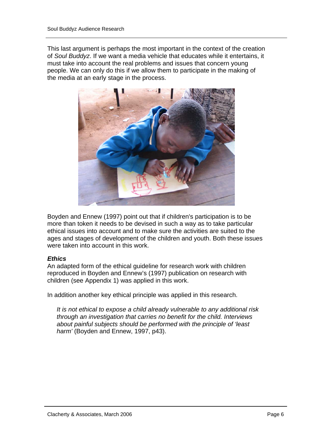This last argument is perhaps the most important in the context of the creation of *Soul Buddyz*. If we want a media vehicle that educates while it entertains, it must take into account the real problems and issues that concern young people. We can only do this if we allow them to participate in the making of the media at an early stage in the process.



Boyden and Ennew (1997) point out that if children's participation is to be more than token it needs to be devised in such a way as to take particular ethical issues into account and to make sure the activities are suited to the ages and stages of development of the children and youth. Both these issues were taken into account in this work.

#### *Ethics*

An adapted form of the ethical guideline for research work with children reproduced in Boyden and Ennew's (1997) publication on research with children (see Appendix 1) was applied in this work.

In addition another key ethical principle was applied in this research.

*It is not ethical to expose a child already vulnerable to any additional risk through an investigation that carries no benefit for the child. Interviews about painful subjects should be performed with the principle of 'least harm'* (Boyden and Ennew, 1997, p43).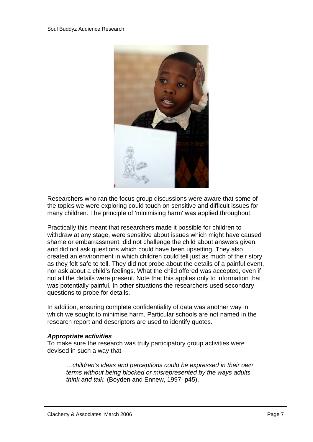

Researchers who ran the focus group discussions were aware that some of the topics we were exploring could touch on sensitive and difficult issues for many children. The principle of 'minimising harm' was applied throughout.

Practically this meant that researchers made it possible for children to withdraw at any stage, were sensitive about issues which might have caused shame or embarrassment, did not challenge the child about answers given, and did not ask questions which could have been upsetting. They also created an environment in which children could tell just as much of their story as they felt safe to tell. They did not probe about the details of a painful event, nor ask about a child's feelings. What the child offered was accepted, even if not all the details were present. Note that this applies only to information that was potentially painful. In other situations the researchers used secondary questions to probe for details.

In addition, ensuring complete confidentiality of data was another way in which we sought to minimise harm. Particular schools are not named in the research report and descriptors are used to identify quotes.

#### *Appropriate activities*

To make sure the research was truly participatory group activities were devised in such a way that

*…children's ideas and perceptions could be expressed in their own terms without being blocked or misrepresented by the ways adults think and talk.* (Boyden and Ennew, 1997, p45).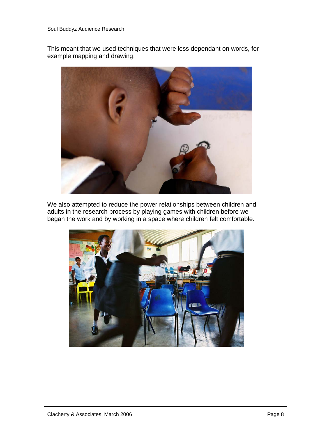This meant that we used techniques that were less dependant on words, for example mapping and drawing.



We also attempted to reduce the power relationships between children and adults in the research process by playing games with children before we began the work and by working in a space where children felt comfortable.

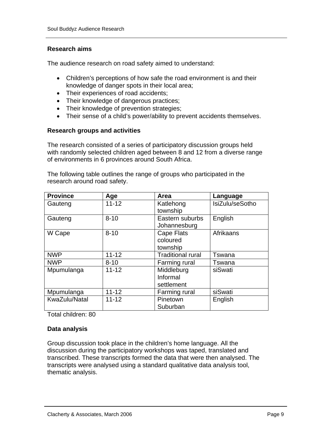#### **Research aims**

The audience research on road safety aimed to understand:

- Children's perceptions of how safe the road environment is and their knowledge of danger spots in their local area;
- Their experiences of road accidents;
- Their knowledge of dangerous practices;
- Their knowledge of prevention strategies;
- Their sense of a child's power/ability to prevent accidents themselves.

#### **Research groups and activities**

The research consisted of a series of participatory discussion groups held with randomly selected children aged between 8 and 12 from a diverse range of environments in 6 provinces around South Africa.

The following table outlines the range of groups who participated in the research around road safety.

| <b>Province</b> | Age       | Area                     | Language        |
|-----------------|-----------|--------------------------|-----------------|
| Gauteng         | $11 - 12$ | Katlehong                | IsiZulu/seSotho |
|                 |           | township                 |                 |
| Gauteng         | $8 - 10$  | Eastern suburbs          | English         |
|                 |           | Johannesburg             |                 |
| W Cape          | $8 - 10$  | Cape Flats               | Afrikaans       |
|                 |           | coloured                 |                 |
|                 |           | township                 |                 |
| <b>NWP</b>      | $11 - 12$ | <b>Traditional rural</b> | Tswana          |
| <b>NWP</b>      | $8 - 10$  | Farming rural            | Tswana          |
| Mpumulanga      | $11 - 12$ | Middleburg               | siSwati         |
|                 |           | Informal                 |                 |
|                 |           | settlement               |                 |
| Mpumulanga      | $11 - 12$ | Farming rural            | siSwati         |
| KwaZulu/Natal   | $11 - 12$ | Pinetown                 | English         |
|                 |           | Suburban                 |                 |

Total children: 80

#### **Data analysis**

Group discussion took place in the children's home language. All the discussion during the participatory workshops was taped, translated and transcribed. These transcripts formed the data that were then analysed. The transcripts were analysed using a standard qualitative data analysis tool, thematic analysis.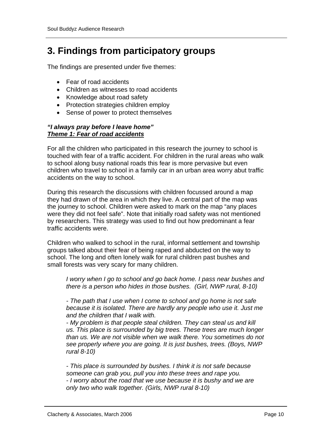## **3. Findings from participatory groups**

The findings are presented under five themes:

- Fear of road accidents
- Children as witnesses to road accidents
- Knowledge about road safety
- Protection strategies children employ
- Sense of power to protect themselves

#### *"I always pray before I leave home" Theme 1: Fear of road accidents*

For all the children who participated in this research the journey to school is touched with fear of a traffic accident. For children in the rural areas who walk to school along busy national roads this fear is more pervasive but even children who travel to school in a family car in an urban area worry abut traffic accidents on the way to school.

During this research the discussions with children focussed around a map they had drawn of the area in which they live. A central part of the map was the journey to school. Children were asked to mark on the map "any places were they did not feel safe". Note that initially road safety was not mentioned by researchers. This strategy was used to find out how predominant a fear traffic accidents were.

Children who walked to school in the rural, informal settlement and township groups talked about their fear of being raped and abducted on the way to school. The long and often lonely walk for rural children past bushes and small forests was very scary for many children.

*I worry when I go to school and go back home. I pass near bushes and there is a person who hides in those bushes. (Girl, NWP rural, 8-10)* 

*- The path that I use when I come to school and go home is not safe because it is isolated. There are hardly any people who use it. Just me and the children that I walk with.* 

*- My problem is that people steal children. They can steal us and kill us. This place is surrounded by big trees. These trees are much longer than us. We are not visible when we walk there. You sometimes do not see properly where you are going. It is just bushes, trees. (Boys, NWP rural 8-10)* 

*- This place is surrounded by bushes. I think it is not safe because someone can grab you, pull you into these trees and rape you. - I worry about the road that we use because it is bushy and we are only two who walk together. (Girls, NWP rural 8-10)*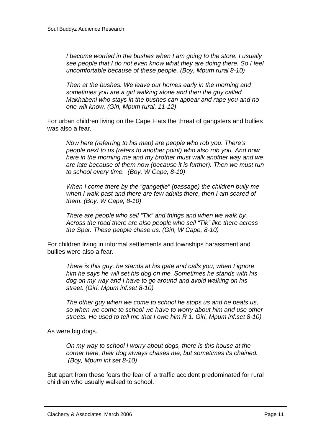*I become worried in the bushes when I am going to the store. I usually see people that I do not even know what they are doing there. So I feel uncomfortable because of these people. (Boy, Mpum rural 8-10)* 

*Then at the bushes. We leave our homes early in the morning and sometimes you are a girl walking alone and then the guy called Makhabeni who stays in the bushes can appear and rape you and no one will know. (Girl, Mpum rural, 11-12)* 

For urban children living on the Cape Flats the threat of gangsters and bullies was also a fear.

*Now here (referring to his map) are people who rob you. There's people next to us (refers to another point) who also rob you. And now here in the morning me and my brother must walk another way and we are late because of them now (because it is further). Then we must run to school every time. (Boy, W Cape, 8-10)* 

*When I come there by the "gangetjie" (passage) the children bully me when I walk past and there are few adults there, then I am scared of them. (Boy, W Cape, 8-10)* 

*There are people who sell "Tik" and things and when we walk by. Across the road there are also people who sell "Tik" like there across the Spar. These people chase us. (Girl, W Cape, 8-10)* 

For children living in informal settlements and townships harassment and bullies were also a fear.

*There is this guy, he stands at his gate and calls you, when I ignore him he says he will set his dog on me. Sometimes he stands with his dog on my way and I have to go around and avoid walking on his street. (Girl, Mpum inf.set 8-10)* 

*The other guy when we come to school he stops us and he beats us, so when we come to school we have to worry about him and use other streets. He used to tell me that I owe him R 1. Girl, Mpum inf.set 8-10)* 

As were big dogs.

*On my way to school I worry about dogs, there is this house at the corner here, their dog always chases me, but sometimes its chained. (Boy, Mpum inf.set 8-10)* 

But apart from these fears the fear of a traffic accident predominated for rural children who usually walked to school.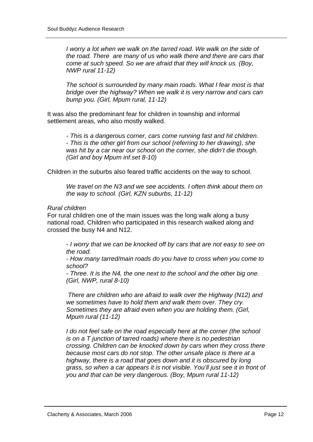*I worry a lot when we walk on the tarred road. We walk on the side of the road. There are many of us who walk there and there are cars that come at such speed. So we are afraid that they will knock us. (Boy, NWP rural 11-12)* 

*The school is surrounded by many main roads. What I fear most is that bridge over the highway? When we walk it is very narrow and cars can bump you. (Girl, Mpum rural, 11-12)* 

It was also the predominant fear for children in township and informal settlement areas, who also mostly walked.

*- This is a dangerous corner, cars come running fast and hit children. - This is the other girl from our school (referring to her drawing), she was hit by a car near our school on the corner, she didn't die though. (Girl and boy Mpum inf.set 8-10)* 

Children in the suburbs also feared traffic accidents on the way to school.

*We travel on the N3 and we see accidents. I often think about them on the way to school. (Girl, KZN suburbs, 11-12)* 

#### *Rural children*

For rural children one of the main issues was the long walk along a busy national road. Children who participated in this research walked along and crossed the busy N4 and N12.

*- I worry that we can be knocked off by cars that are not easy to see on the road.* 

*- How many tarred/main roads do you have to cross when you come to school?* 

*- Three. It is the N4, the one next to the school and the other big one. (Girl, NWP, rural 8-10)* 

 *There are children who are afraid to walk over the Highway (N12) and we sometimes have to hold them and walk them over. They cry. Sometimes they are afraid even when you are holding them. (Girl, Mpum rural (11-12)* 

*I do not feel safe on the road especially here at the corner (the school is on a T junction of tarred roads) where there is no pedestrian crossing. Children can be knocked down by cars when they cross there because most cars do not stop. The other unsafe place is there at a highway, there is a road that goes down and it is obscured by long grass, so when a car appears it is not visible. You'll just see it in front of you and that can be very dangerous. (Boy, Mpum rural 11-12)*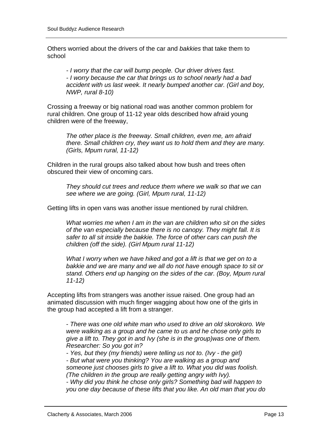Others worried about the drivers of the car and *bakkies* that take them to school

*- I worry that the car will bump people. Our driver drives fast. - I worry because the car that brings us to school nearly had a bad accident with us last week. It nearly bumped another car. (Girl and boy, NWP, rural 8-10)* 

Crossing a freeway or big national road was another common problem for rural children. One group of 11-12 year olds described how afraid young children were of the freeway,

*The other place is the freeway. Small children, even me, am afraid there. Small children cry, they want us to hold them and they are many. (Girls, Mpum rural, 11-12)* 

Children in the rural groups also talked about how bush and trees often obscured their view of oncoming cars.

*They should cut trees and reduce them where we walk so that we can see where we are going. (Girl, Mpum rural, 11-12)* 

Getting lifts in open vans was another issue mentioned by rural children.

*What worries me when I am in the van are children who sit on the sides of the van especially because there is no canopy. They might fall. It is safer to all sit inside the bakkie. The force of other cars can push the children (off the side). (Girl Mpum rural 11-12)* 

*What I worry when we have hiked and got a lift is that we get on to a bakkie and we are many and we all do not have enough space to sit or stand. Others end up hanging on the sides of the car. (Boy, Mpum rural 11-12)* 

Accepting lifts from strangers was another issue raised. One group had an animated discussion with much finger wagging about how one of the girls in the group had accepted a lift from a stranger.

- *There was one old white man who used to drive an old skorokoro. We were walking as a group and he came to us and he chose only girls to give a lift to. They got in and Ivy (she is in the group)was one of them. Researcher: So you got in?* 

*- Yes, but they (my friends) were telling us not to. (Ivy - the girl)* 

*- But what were you thinking? You are walking as a group and someone just chooses girls to give a lift to. What you did was foolish. (The children in the group are really getting angry with Ivy).* 

*- Why did you think he chose only girls? Something bad will happen to you one day because of these lifts that you like. An old man that you do*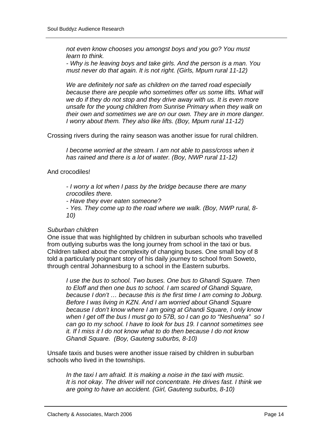*not even know chooses you amongst boys and you go? You must learn to think.* 

*- Why is he leaving boys and take girls. And the person is a man. You must never do that again. It is not right. (Girls, Mpum rural 11-12)* 

*We are definitely not safe as children on the tarred road especially*  because there are people who sometimes offer us some lifts. What will *we do if they do not stop and they drive away with us. It is even more unsafe for the young children from Sunrise Primary when they walk on their own and sometimes we are on our own. They are in more danger. I worry about them. They also like lifts. (Boy, Mpum rural 11-12)* 

Crossing rivers during the rainy season was another issue for rural children.

*I become worried at the stream. I am not able to pass/cross when it has rained and there is a lot of water. (Boy, NWP rural 11-12)* 

#### And crocodiles!

*- I worry a lot when I pass by the bridge because there are many crocodiles there.* 

*- Have they ever eaten someone?* 

*- Yes. They come up to the road where we walk. (Boy, NWP rural, 8- 10)* 

#### *Suburban children*

One issue that was highlighted by children in suburban schools who travelled from outlying suburbs was the long journey from school in the taxi or bus. Children talked about the complexity of changing buses. One small boy of 8 told a particularly poignant story of his daily journey to school from Soweto, through central Johannesburg to a school in the Eastern suburbs.

*I use the bus to school. Two buses. One bus to Ghandi Square. Then to Eloff and then one bus to school. I am scared of Ghandi Square, because I don't … because this is the first time I am coming to Joburg. Before I was living in KZN. And I am worried about Ghandi Square because I don't know where I am going at Ghandi Square, I only know when I get off the bus I must go to 57B, so I can go to "Neshuena" so I can go to my school. I have to look for bus 19. I cannot sometimes see it. If I miss it I do not know what to do then because I do not know Ghandi Square. (Boy, Gauteng suburbs, 8-10)* 

Unsafe taxis and buses were another issue raised by children in suburban schools who lived in the townships.

*In the taxi I am afraid. It is making a noise in the taxi with music. It is not okay. The driver will not concentrate. He drives fast. I think we are going to have an accident. (Girl, Gauteng suburbs, 8-10)*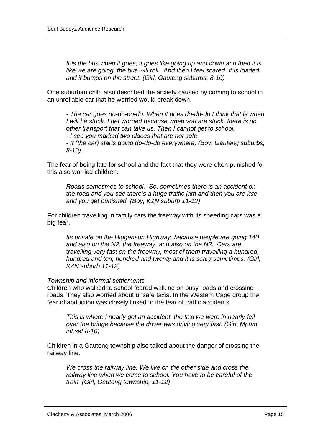*It is the bus when it goes, it goes like going up and down and then it is like we are going, the bus will roll. And then I feel scared. It is loaded and it bumps on the street. (Girl, Gauteng suburbs, 8-10)* 

One suburban child also described the anxiety caused by coming to school in an unreliable car that he worried would break down.

*- The car goes do-do-do-do. When it goes do-do-do I think that is when I will be stuck. I get worried because when you are stuck, there is no other transport that can take us. Then I cannot get to school. - I see you marked two places that are not safe.* 

*- It (the car) starts going do-do-do everywhere. (Boy, Gauteng suburbs, 8-10)* 

The fear of being late for school and the fact that they were often punished for this also worried children.

*Roads sometimes to school. So, sometimes there is an accident on the road and you see there's a huge traffic jam and then you are late and you get punished. (Boy, KZN suburb 11-12)* 

For children travelling in family cars the freeway with its speeding cars was a big fear.

*Its unsafe on the Higgenson Highway, because people are going 140 and also on the N2, the freeway, and also on the N3. Cars are travelling very fast on the freeway, most of them travelling a hundred, hundred and ten, hundred and twenty and it is scary sometimes. (Girl, KZN suburb 11-12)* 

#### *Township and informal settlements*

Children who walked to school feared walking on busy roads and crossing roads. They also worried about unsafe taxis. In the Western Cape group the fear of abduction was closely linked to the fear of traffic accidents.

*This is where I nearly got an accident, the taxi we were in nearly fell over the bridge because the driver was driving very fast. (Girl, Mpum inf.set 8-10)* 

Children in a Gauteng township also talked about the danger of crossing the railway line.

*We cross the railway line. We live on the other side and cross the railway line when we come to school. You have to be careful of the train. (Girl, Gauteng township, 11-12)*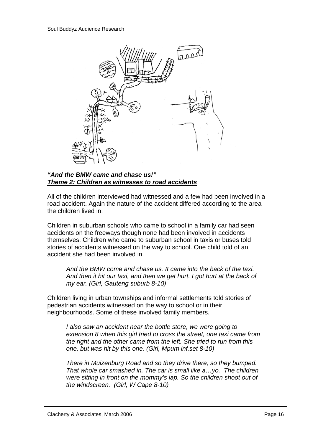

#### *"And the BMW came and chase us!" Theme 2: Children as witnesses to road accidents*

All of the children interviewed had witnessed and a few had been involved in a road accident. Again the nature of the accident differed according to the area the children lived in.

Children in suburban schools who came to school in a family car had seen accidents on the freeways though none had been involved in accidents themselves. Children who came to suburban school in taxis or buses told stories of accidents witnessed on the way to school. One child told of an accident she had been involved in.

*And the BMW come and chase us. It came into the back of the taxi. And then it hit our taxi, and then we get hurt. I got hurt at the back of my ear. (Girl, Gauteng suburb 8-10)* 

Children living in urban townships and informal settlements told stories of pedestrian accidents witnessed on the way to school or in their neighbourhoods. Some of these involved family members.

*I also saw an accident near the bottle store, we were going to extension 8 when this girl tried to cross the street, one taxi came from the right and the other came from the left. She tried to run from this one, but was hit by this one. (Girl, Mpum inf.set 8-10)* 

*There in Muizenburg Road and so they drive there, so they bumped. That whole car smashed in. The car is small like a…yo. The children were sitting in front on the mommy's lap. So the children shoot out of the windscreen. (Girl, W Cape 8-10)*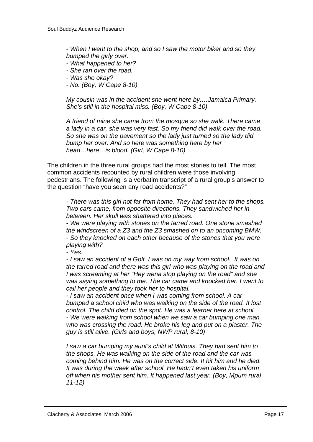*- When I went to the shop, and so I saw the motor biker and so they bumped the girly over.* 

- *What happened to her?*
- *She ran over the road.*
- *Was she okay?*
- *No. (Boy, W Cape 8-10)*

*My cousin was in the accident she went here by….Jamaica Primary. She's still in the hospital miss. (Boy, W Cape 8-10)* 

*A friend of mine she came from the mosque so she walk. There came a lady in a car, she was very fast. So my friend did walk over the road. So she was on the pavement so the lady just turned so the lady did bump her over. And so here was something here by her head…here…is blood. (Girl, W Cape 8-10)* 

The children in the three rural groups had the most stories to tell. The most common accidents recounted by rural children were those involving pedestrians. The following is a verbatim transcript of a rural group's answer to the question "have you seen any road accidents?"

*- There was this girl not far from home. They had sent her to the shops. Two cars came, from opposite directions. They sandwiched her in between. Her skull was shattered into pieces.* 

*- We were playing with stones on the tarred road. One stone smashed the windscreen of a Z3 and the Z3 smashed on to an oncoming BMW. - So they knocked on each other because of the stones that you were playing with?* 

*- Yes.* 

*- I saw an accident of a Golf. I was on my way from school. It was on the tarred road and there was this girl who was playing on the road and I was screaming at her "Hey wena stop playing on the road" and she was saying something to me. The car came and knocked her. I went to call her people and they took her to hospital.* 

*- I saw an accident once when I was coming from school. A car bumped a school child who was walking on the side of the road. It lost control. The child died on the spot. He was a learner here at school. - We were walking from school when we saw a car bumping one man who was crossing the road. He broke his leg and put on a plaster. The guy is still alive. (Girls and boys, NWP rural, 8-10)* 

*I saw a car bumping my aunt's child at Withuis. They had sent him to the shops. He was walking on the side of the road and the car was coming behind him. He was on the correct side. It hit him and he died. It was during the week after school. He hadn't even taken his uniform off when his mother sent him. It happened last year. (Boy, Mpum rural 11-12)*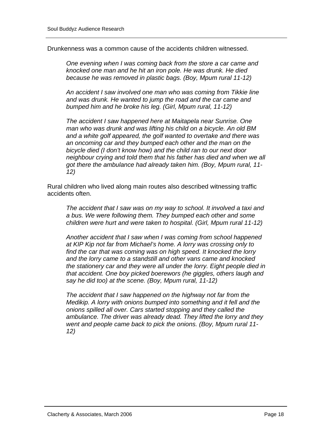Drunkenness was a common cause of the accidents children witnessed.

*One evening when I was coming back from the store a car came and knocked one man and he hit an iron pole. He was drunk. He died because he was removed in plastic bags. (Boy, Mpum rural 11-12)* 

*An accident I saw involved one man who was coming from Tikkie line and was drunk. He wanted to jump the road and the car came and bumped him and he broke his leg. (Girl, Mpum rural, 11-12)* 

*The accident I saw happened here at Maitapela near Sunrise. One man who was drunk and was lifting his child on a bicycle. An old BM and a white golf appeared, the golf wanted to overtake and there was an oncoming car and they bumped each other and the man on the bicycle died (I don't know how) and the child ran to our next door neighbour crying and told them that his father has died and when we all got there the ambulance had already taken him. (Boy, Mpum rural, 11- 12)*

Rural children who lived along main routes also described witnessing traffic accidents often.

*The accident that I saw was on my way to school. It involved a taxi and a bus. We were following them. They bumped each other and some children were hurt and were taken to hospital. (Girl, Mpum rural 11-12)* 

*Another accident that I saw when I was coming from school happened at KIP Kip not far from Michael's home. A lorry was crossing only to find the car that was coming was on high speed. It knocked the lorry and the lorry came to a standstill and other vans came and knocked the stationery car and they were all under the lorry. Eight people died in that accident. One boy picked boerewors (he giggles, others laugh and say he did too) at the scene. (Boy, Mpum rural, 11-12)* 

*The accident that I saw happened on the highway not far from the Medikip. A lorry with onions bumped into something and it fell and the onions spilled all over. Cars started stopping and they called the ambulance. The driver was already dead. They lifted the lorry and they went and people came back to pick the onions. (Boy, Mpum rural 11- 12)*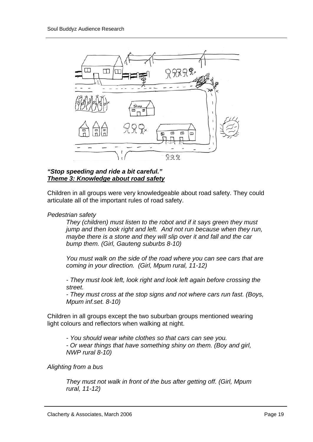

### *"Stop speeding and ride a bit careful." Theme 3: Knowledge about road safety*

Children in all groups were very knowledgeable about road safety. They could articulate all of the important rules of road safety.

#### *Pedestrian safety*

*They (children) must listen to the robot and if it says green they must jump and then look right and left. And not run because when they run, maybe there is a stone and they will slip over it and fall and the car bump them. (Girl, Gauteng suburbs 8-10)* 

*You must walk on the side of the road where you can see cars that are coming in your direction. (Girl, Mpum rural, 11-12)* 

*- They must look left, look right and look left again before crossing the street.* 

*- They must cross at the stop signs and not where cars run fast. (Boys, Mpum inf.set. 8-10)* 

Children in all groups except the two suburban groups mentioned wearing light colours and reflectors when walking at night.

*- You should wear white clothes so that cars can see you.* 

*- Or wear things that have something shiny on them. (Boy and girl, NWP rural 8-10)* 

*Alighting from a bus* 

*They must not walk in front of the bus after getting off. (Girl, Mpum rural, 11-12)*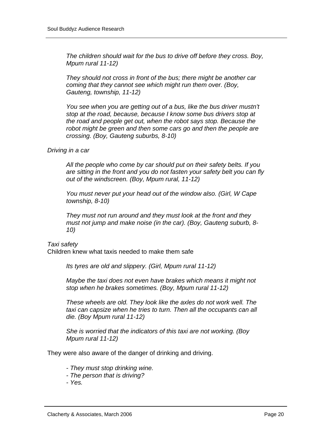*The children should wait for the bus to drive off before they cross. Boy, Mpum rural 11-12)* 

*They should not cross in front of the bus; there might be another car coming that they cannot see which might run them over. (Boy, Gauteng, township, 11-12)* 

*You see when you are getting out of a bus, like the bus driver mustn't stop at the road, because, because I know some bus drivers stop at the road and people get out, when the robot says stop. Because the robot might be green and then some cars go and then the people are crossing. (Boy, Gauteng suburbs, 8-10)* 

#### *Driving in a car*

*All the people who come by car should put on their safety belts. If you are sitting in the front and you do not fasten your safety belt you can fly out of the windscreen. (Boy, Mpum rural, 11-12)* 

*You must never put your head out of the window also. (Girl, W Cape township, 8-10)* 

*They must not run around and they must look at the front and they must not jump and make noise (in the car). (Boy, Gauteng suburb, 8- 10)* 

#### *Taxi safety*

Children knew what taxis needed to make them safe

*Its tyres are old and slippery. (Girl, Mpum rural 11-12)* 

*Maybe the taxi does not even have brakes which means it might not stop when he brakes sometimes. (Boy, Mpum rural 11-12)* 

*These wheels are old. They look like the axles do not work well. The taxi can capsize when he tries to turn. Then all the occupants can all die. (Boy Mpum rural 11-12)* 

*She is worried that the indicators of this taxi are not working. (Boy Mpum rural 11-12)* 

They were also aware of the danger of drinking and driving.

- *They must stop drinking wine.*
- *The person that is driving?*
- *Yes.*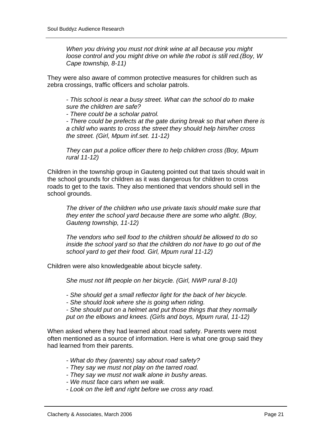*When you driving you must not drink wine at all because you might loose control and you might drive on while the robot is still red.(Boy, W Cape township, 8-11)* 

They were also aware of common protective measures for children such as zebra crossings, traffic officers and scholar patrols.

*- This school is near a busy street. What can the school do to make sure the children are safe?* 

*- There could be a scholar patrol.* 

*- There could be prefects at the gate during break so that when there is a child who wants to cross the street they should help him/her cross the street. (Girl, Mpum inf.set. 11-12)* 

*They can put a police officer there to help children cross (Boy, Mpum rural 11-12)* 

Children in the township group in Gauteng pointed out that taxis should wait in the school grounds for children as it was dangerous for children to cross roads to get to the taxis. They also mentioned that vendors should sell in the school grounds.

*The driver of the children who use private taxis should make sure that they enter the school yard because there are some who alight. (Boy, Gauteng township, 11-12)* 

*The vendors who sell food to the children should be allowed to do so inside the school yard so that the children do not have to go out of the school yard to get their food. Girl, Mpum rural 11-12)* 

Children were also knowledgeable about bicycle safety.

*She must not lift people on her bicycle. (Girl, NWP rural 8-10)* 

*- She should get a small reflector light for the back of her bicycle.* 

*- She should look where she is going when riding.* 

*- She should put on a helmet and put those things that they normally put on the elbows and knees. (Girls and boys, Mpum rural, 11-12)* 

When asked where they had learned about road safety. Parents were most often mentioned as a source of information. Here is what one group said they had learned from their parents.

- *What do they (parents) say about road safety?*
- *They say we must not play on the tarred road.*
- *They say we must not walk alone in bushy areas.*
- *We must face cars when we walk.*
- *Look on the left and right before we cross any road.*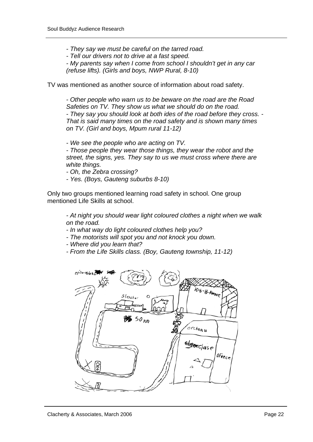*- They say we must be careful on the tarred road.* 

*- Tell our drivers not to drive at a fast speed.* 

*- My parents say when I come from school I shouldn't get in any car (refuse lifts). (Girls and boys, NWP Rural, 8-10)* 

TV was mentioned as another source of information about road safety.

*- Other people who warn us to be beware on the road are the Road Safeties on TV. They show us what we should do on the road. - They say you should look at both ides of the road before they cross. - That is said many times on the road safety and is shown many times on TV. (Girl and boys, Mpum rural 11-12)* 

*- We see the people who are acting on TV.* 

*- Those people they wear those things, they wear the robot and the street, the signs, yes. They say to us we must cross where there are white things.* 

*- Oh, the Zebra crossing?* 

*- Yes. (Boys, Gauteng suburbs 8-10)* 

Only two groups mentioned learning road safety in school. One group mentioned Life Skills at school.

*- At night you should wear light coloured clothes a night when we walk on the road.* 

- *In what way do light coloured clothes help you?*
- *The motorists will spot you and not knock you down.*
- *Where did you learn that?*
- *From the Life Skills class. (Boy, Gauteng township, 11-12)*

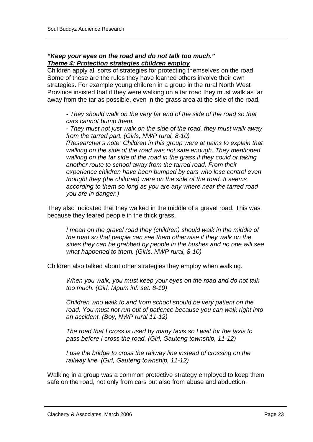#### *"Keep your eyes on the road and do not talk too much." Theme 4: Protection strategies children employ*

Children apply all sorts of strategies for protecting themselves on the road. Some of these are the rules they have learned others involve their own strategies. For example young children in a group in the rural North West Province insisted that if they were walking on a tar road they must walk as far away from the tar as possible, even in the grass area at the side of the road.

*- They should walk on the very far end of the side of the road so that cars cannot bump them.* 

*- They must not just walk on the side of the road, they must walk away from the tarred part. (Girls, NWP rural, 8-10)* 

*(Researcher's note: Children in this group were at pains to explain that walking on the side of the road was not safe enough. They mentioned walking on the far side of the road in the grass if they could or taking another route to school away from the tarred road. From their experience children have been bumped by cars who lose control even thought they (the children) were on the side of the road. It seems according to them so long as you are any where near the tarred road you are in danger.)* 

They also indicated that they walked in the middle of a gravel road. This was because they feared people in the thick grass.

*I mean on the gravel road they (children) should walk in the middle of the road so that people can see them otherwise if they walk on the sides they can be grabbed by people in the bushes and no one will see what happened to them. (Girls, NWP rural, 8-10)* 

Children also talked about other strategies they employ when walking.

*When you walk, you must keep your eyes on the road and do not talk too much. (Girl, Mpum inf. set. 8-10)* 

*Children who walk to and from school should be very patient on the road. You must not run out of patience because you can walk right into an accident. (Boy, NWP rural 11-12)* 

*The road that I cross is used by many taxis so I wait for the taxis to pass before I cross the road. (Girl, Gauteng township, 11-12)* 

*I use the bridge to cross the railway line instead of crossing on the railway line. (Girl, Gauteng township, 11-12)* 

Walking in a group was a common protective strategy employed to keep them safe on the road, not only from cars but also from abuse and abduction.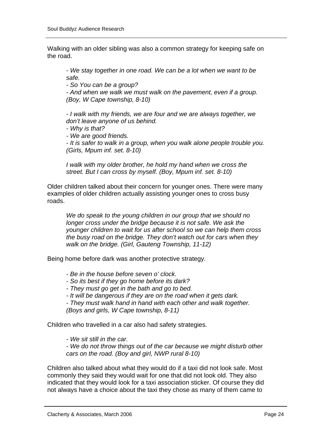Walking with an older sibling was also a common strategy for keeping safe on the road.

*- We stay together in one road. We can be a lot when we want to be safe.* 

*- So You can be a group?* 

*- And when we walk we must walk on the pavement, even if a group. (Boy, W Cape township, 8-10)* 

*- I walk with my friends, we are four and we are always together, we don't leave anyone of us behind.* 

- *Why is that?*
- *We are good friends.*

*- It is safer to walk in a group, when you walk alone people trouble you. (Girls, Mpum inf. set. 8-10)* 

*I walk with my older brother, he hold my hand when we cross the street. But I can cross by myself. (Boy, Mpum inf. set. 8-10)* 

Older children talked about their concern for younger ones. There were many examples of older children actually assisting younger ones to cross busy roads.

*We do speak to the young children in our group that we should no*  longer cross under the bridge because it is not safe. We ask the *younger children to wait for us after school so we can help them cross the busy road on the bridge. They don't watch out for cars when they walk on the bridge. (Girl, Gauteng Township, 11-12)* 

Being home before dark was another protective strategy.

- *Be in the house before seven o' clock.*
- *So its best if they go home before its dark?*
- *They must go get in the bath and go to bed.*
- *It will be dangerous if they are on the road when it gets dark.*

*- They must walk hand in hand with each other and walk together. (Boys and girls, W Cape township, 8-11)* 

Children who travelled in a car also had safety strategies.

*- We sit still in the car.* 

*- We do not throw things out of the car because we might disturb other cars on the road. (Boy and girl, NWP rural 8-10)* 

Children also talked about what they would do if a taxi did not look safe. Most commonly they said they would wait for one that did not look old. They also indicated that they would look for a taxi association sticker. Of course they did not always have a choice about the taxi they chose as many of them came to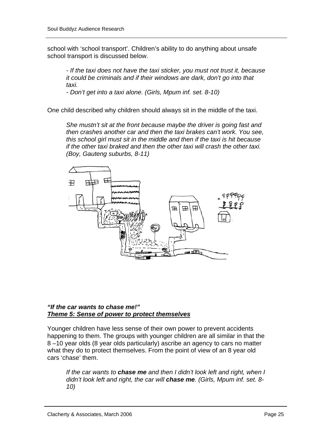school with 'school transport'. Children's ability to do anything about unsafe school transport is discussed below.

*- If the taxi does not have the taxi sticker, you must not trust it, because it could be criminals and if their windows are dark, don't go into that taxi.* 

*- Don't get into a taxi alone. (Girls, Mpum inf. set. 8-10)* 

One child described why children should always sit in the middle of the taxi.

*She mustn't sit at the front because maybe the driver is going fast and then crashes another car and then the taxi brakes can't work. You see, this school girl must sit in the middle and then if the taxi is hit because if the other taxi braked and then the other taxi will crash the other taxi. (Boy, Gauteng suburbs, 8-11)* 



#### *"If the car wants to chase me!" Theme 5: Sense of power to protect themselves*

Younger children have less sense of their own power to prevent accidents happening to them. The groups with younger children are all similar in that the 8 –10 year olds (8 year olds particularly) ascribe an agency to cars no matter what they do to protect themselves. From the point of view of an 8 year old cars 'chase' them.

*If the car wants to chase me and then I didn't look left and right, when I didn't look left and right, the car will chase me. (Girls, Mpum inf. set. 8- 10)*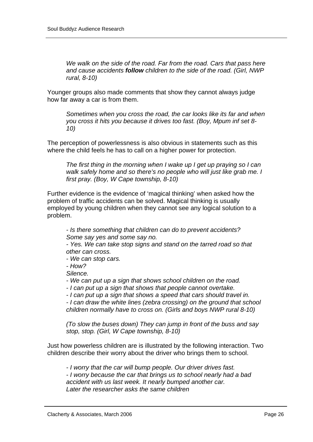*We walk on the side of the road. Far from the road. Cars that pass here and cause accidents follow children to the side of the road. (Girl, NWP rural, 8-10)* 

Younger groups also made comments that show they cannot always judge how far away a car is from them.

*Sometimes when you cross the road, the car looks like its far and when you cross it hits you because it drives too fast. (Boy, Mpum inf set 8- 10)* 

The perception of powerlessness is also obvious in statements such as this where the child feels he has to call on a higher power for protection.

*The first thing in the morning when I wake up I get up praying so I can walk safely home and so there's no people who will just like grab me. I first pray. (Boy, W Cape township, 8-10)* 

Further evidence is the evidence of 'magical thinking' when asked how the problem of traffic accidents can be solved. Magical thinking is usually employed by young children when they cannot see any logical solution to a problem.

*- Is there something that children can do to prevent accidents? Some say yes and some say no.* 

*- Yes. We can take stop signs and stand on the tarred road so that other can cross.* 

*- We can stop cars.* 

*- How?* 

*Silence.* 

*- We can put up a sign that shows school children on the road.* 

*- I can put up a sign that shows that people cannot overtake.* 

*- I can put up a sign that shows a speed that cars should travel in.* 

*- I can draw the white lines (zebra crossing) on the ground that school children normally have to cross on. (Girls and boys NWP rural 8-10)* 

*(To slow the buses down) They can jump in front of the buss and say stop, stop. (Girl, W Cape township, 8-10)* 

Just how powerless children are is illustrated by the following interaction. Two children describe their worry about the driver who brings them to school.

*- I worry that the car will bump people. Our driver drives fast. - I worry because the car that brings us to school nearly had a bad accident with us last week. It nearly bumped another car. Later the researcher asks the same children*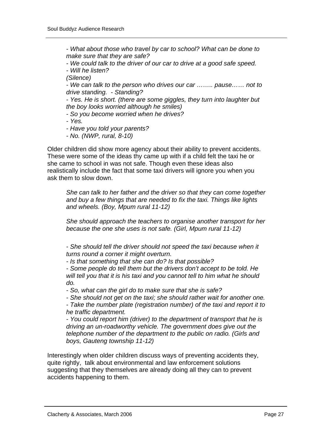*- What about those who travel by car to school? What can be done to make sure that they are safe?* 

*- We could talk to the driver of our car to drive at a good safe speed. - Will he listen?* 

*(Silence)* 

*- We can talk to the person who drives our car …….. pause…… not to drive standing. - Standing?* 

*- Yes. He is short. (there are some giggles, they turn into laughter but the boy looks worried although he smiles)* 

*- So you become worried when he drives?* 

*- Yes.* 

*- Have you told your parents?* 

*- No. (NWP, rural, 8-10)* 

Older children did show more agency about their ability to prevent accidents. These were some of the ideas thy came up with if a child felt the taxi he or she came to school in was not safe. Though even these ideas also realistically include the fact that some taxi drivers will ignore you when you ask them to slow down.

*She can talk to her father and the driver so that they can come together and buy a few things that are needed to fix the taxi. Things like lights and wheels. (Boy, Mpum rural 11-12)* 

*She should approach the teachers to organise another transport for her because the one she uses is not safe. (Girl, Mpum rural 11-12)* 

*- She should tell the driver should not speed the taxi because when it turns round a corner it might overturn.* 

*- Is that something that she can do? Is that possible?* 

*- Some people do tell them but the drivers don't accept to be told. He will tell you that it is his taxi and you cannot tell to him what he should do.* 

*- So, what can the girl do to make sure that she is safe?* 

*- She should not get on the taxi; she should rather wait for another one.* 

*- Take the number plate (registration number) of the taxi and report it to he traffic department.* 

*- You could report him (driver) to the department of transport that he is driving an un-roadworthy vehicle. The government does give out the telephone number of the department to the public on radio. (Girls and boys, Gauteng township 11-12)* 

Interestingly when older children discuss ways of preventing accidents they, quite rightly, talk about environmental and law enforcement solutions suggesting that they themselves are already doing all they can to prevent accidents happening to them.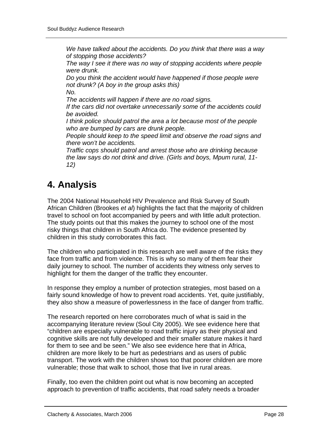*We have talked about the accidents. Do you think that there was a way of stopping those accidents?* 

*The way I see it there was no way of stopping accidents where people were drunk.* 

*Do you think the accident would have happened if those people were not drunk? (A boy in the group asks this)* 

*No. The accidents will happen if there are no road signs.* 

*If the cars did not overtake unnecessarily some of the accidents could be avoided.* 

*I think police should patrol the area a lot because most of the people who are bumped by cars are drunk people.* 

*People should keep to the speed limit and observe the road signs and there won't be accidents.* 

*Traffic cops should patrol and arrest those who are drinking because the law says do not drink and drive. (Girls and boys, Mpum rural, 11- 12)* 

# **4. Analysis**

The 2004 National Household HIV Prevalence and Risk Survey of South African Children (Brookes *et al*) highlights the fact that the majority of children travel to school on foot accompanied by peers and with little adult protection. The study points out that this makes the journey to school one of the most risky things that children in South Africa do. The evidence presented by children in this study corroborates this fact.

The children who participated in this research are well aware of the risks they face from traffic and from violence. This is why so many of them fear their daily journey to school. The number of accidents they witness only serves to highlight for them the danger of the traffic they encounter.

In response they employ a number of protection strategies, most based on a fairly sound knowledge of how to prevent road accidents. Yet, quite justifiably, they also show a measure of powerlessness in the face of danger from traffic.

The research reported on here corroborates much of what is said in the accompanying literature review (Soul City 2005). We see evidence here that "children are especially vulnerable to road traffic injury as their physical and cognitive skills are not fully developed and their smaller stature makes it hard for them to see and be seen." We also see evidence here that in Africa, children are more likely to be hurt as pedestrians and as users of public transport. The work with the children shows too that poorer children are more vulnerable; those that walk to school, those that live in rural areas.

Finally, too even the children point out what is now becoming an accepted approach to prevention of traffic accidents, that road safety needs a broader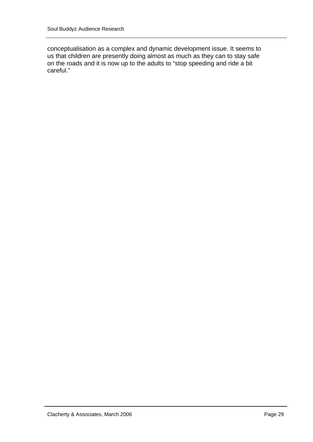conceptualisation as a complex and dynamic development issue. It seems to us that children are presently doing almost as much as they can to stay safe on the roads and it is now up to the adults to "stop speeding and ride a bit careful."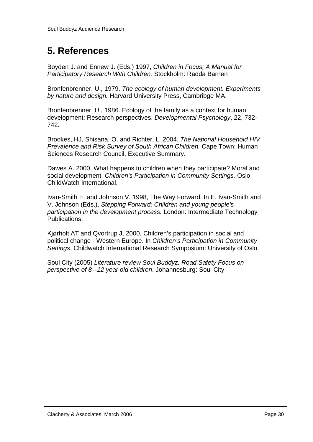### **5. References**

Boyden J. and Ennew J. (Eds.) 1997, *Children in Focus; A Manual for Participatory Research With Children.* Stockholm: Rädda Barnen

Bronfenbrenner, U., 1979. *The ecology of human development. Experiments by nature and design.* Harvard University Press, Cambribge MA.

Bronfenbrenner, U., 1986. Ecology of the family as a context for human development: Research perspectives. *Developmental Psychology*, 22, 732- 742.

Brookes, HJ, Shisana, O. and Richter, L. 2004. *The National Household HIV Prevalence and Risk Survey of South African Children.* Cape Town: Human Sciences Research Council, Executive Summary.

Dawes A. 2000, What happens to children when they participate? Moral and social development, *Children's Participation in Community Settings.* Oslo: ChildWatch International.

Ivan-Smith E. and Johnson V. 1998, The Way Forward. In E. Ivan-Smith and V. Johnson (Eds.), *Stepping Forward: Children and young people's participation in the development process.* London: Intermediate Technology Publications.

Kjørholt AT and Qvortrup J, 2000, Children's participation in social and political change - Western Europe. In *Children's Participation in Community Settings*, Childwatch International Research Symposium: University of Oslo.

Soul City (2005) *Literature review Soul Buddyz. Road Safety Focus on perspective of 8 –12 year old children*. Johannesburg: Soul City